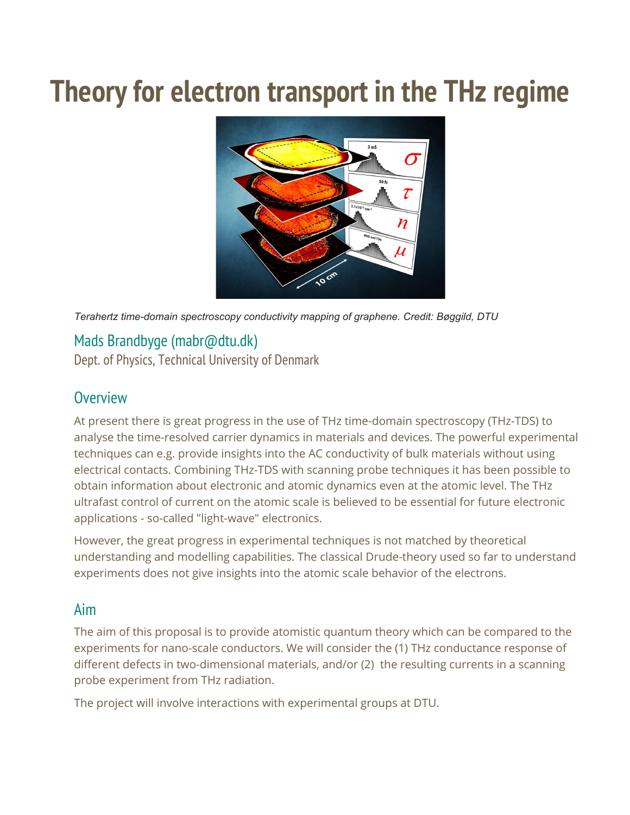# **Theory for electron transport in the THz regime**



*Terahertz time-domain spectroscopy conductivity mapping of graphene. Credit: Bøggild, DTU*

## Mads Brandbyge (mabr@dtu.dk)

Dept. of Physics, Technical University of Denmark

### **Overview**

At present there is great progress in the use of THz time-domain spectroscopy (THz-TDS) to analyse the time-resolved carrier dynamics in materials and devices. The powerful experimental techniques can e.g. provide insights into the AC conductivity of bulk materials without using electrical contacts. Combining THz-TDS with scanning probe techniques it has been possible to obtain information about electronic and atomic dynamics even at the atomic level. The THz ultrafast control of current on the atomic scale is believed to be essential for future electronic applications - so-called "light-wave" electronics.

However, the great progress in experimental techniques is not matched by theoretical understanding and modelling capabilities. The classical Drude-theory used so far to understand experiments does not give insights into the atomic scale behavior of the electrons.

#### Aim

The aim of this proposal is to provide atomistic quantum theory which can be compared to the experiments for nano-scale conductors. We will consider the (1) THz conductance response of different defects in two-dimensional materials, and/or (2) the resulting currents in a scanning probe experiment from THz radiation.

The project will involve interactions with experimental groups at DTU.